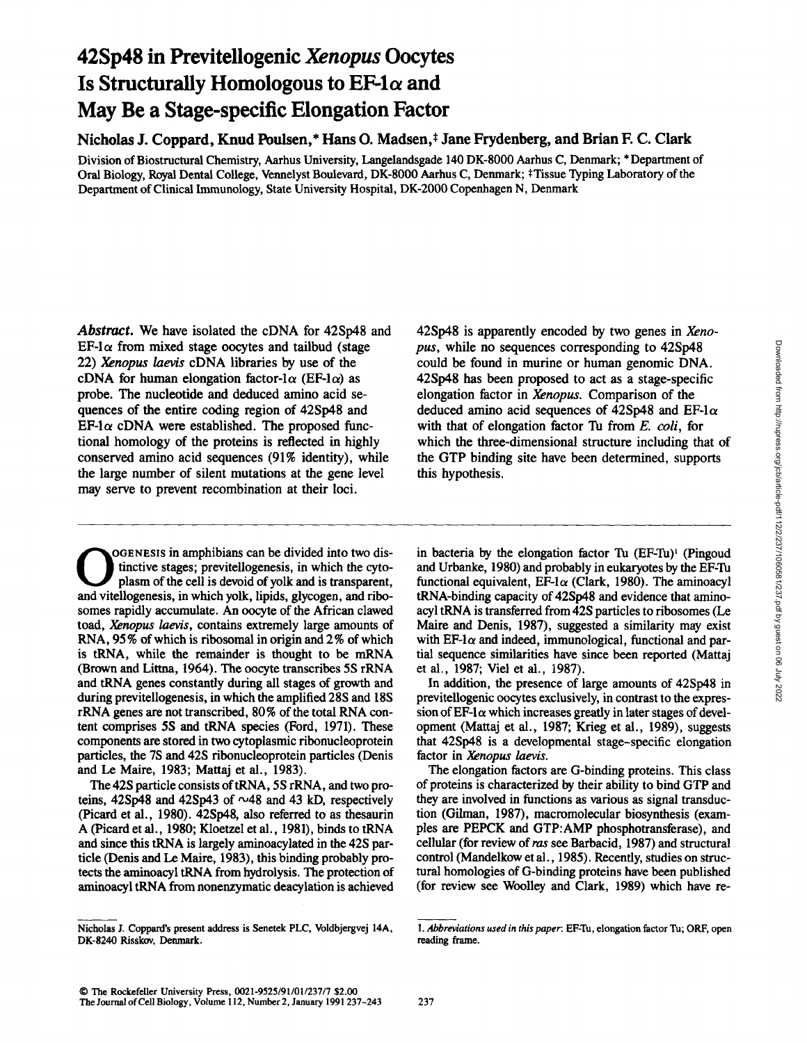# **42Sp48 in Previtellogenic** *Xenopus* **Oocytes**  Is Structurally Homologous to  $EF-1\alpha$  and **May Be a Stage-specific Elongation Factor**

Nicholas **J. Coppard,** Knud Poulsen,\* Hans **O. Madsen,\*** Jane Frydenberg, and Brian **E C.** Clark

Division of Biostructural Chemistry, Aarhus University, Langelandsgade 140 DK-8000 Aarhus C, Denmark; \* Department of Oral Biology, Royal Dental College, Vennelyst Boulevard, DK-8000 Aarhus C, Denmark; \*Tissue Typing Laboratory of the Department of Clinical Immunology, State University Hospital, DK-2000 Copenhagen N, Denmark

*Abstract.* We have isolated the cDNA for 42Sp48 and  $EF$ -l $\alpha$  from mixed stage oocytes and tailbud (stage 22) *Xenopus laevis* cDNA libraries by use of the cDNA for human elongation factor-l $\alpha$  (EF-l $\alpha$ ) as probe. The nucleotide and deduced amino acid sequences of the entire coding region of 42Sp48 and  $EF$ -1 $\alpha$  cDNA were established. The proposed functional homology of the proteins is reflected in highly conserved amino acid sequences (91% identity), while the large number of silent mutations at the gene level may serve to prevent recombination at their loci.

42Sp48 is apparently encoded by two genes in *Xenopus,* while no sequences corresponding to 42Sp48 could be found in murine or human genomic DNA. 42Sp48 has been proposed to act as a stage-specific elongation factor in *Xenopus.* Comparison of the deduced amino acid sequences of 42Sp48 and EF-1 $\alpha$ with that of elongation factor Tu from *E. coli,* for which the three-dimensional structure including that of the GTP binding site have been determined, supports this hypothesis.

OGENESIS in amphibians can be divided into two distinctive stages; previtellogenesis, in which the cytoplasm of the cell is devoid of yolk and is transparent, and vitellogenesis, in which yolk, lipids, glycogen, and ribosomes rapidly accumulate. An oocyte of the African clawed toad, *Xenopus laevis,* contains extremely large amounts of RNA, 95% of which is ribosomal in origin and 2% of which is tRNA, while the remainder is thought to be mRNA (Brown and Littna, 1964). The oocyte transcribes 5S rRNA and tRNA genes constantly during all stages of growth and during previtellogenesis, in which the amplified 28S and 18S rRNA genes are not transcribed, 80% of the total RNA content comprises 5S and tRNA species (Ford, 1971). These components are stored in two cytoplasmic ribonucleoprotein particles, the 7S and 42S ribonucleoprotein particles (Denis and Le Maire, 1983; Mattaj et al., 1983).

The 42S particle consists of tRNA, 5S rRNA, and two proteins, 42Sp48 and 42Sp43 of  $\sim$ 48 and 43 kD, respectively (Picard et al., 1980). 42Sp48, also referred to as thesaurin A (Picard et al., 1980; Kloetzel et al., 1981), binds to tRNA and since this tRNA is largely aminoacylated in the 42S particle (Denis and Le Maire, 1983), this binding probably protects the aminoacyl tRNA from hydrolysis. The protection of aminoacyl tRNA from nonenzymatic deacylation is achieved

in bacteria by the elongation factor Tu  $(EF-Tu)$ <sup>1</sup> (Pingoud and Urbanke, 1980) and probably in eukaryotes by the EF-Tu functional equivalent, EF-1 $\alpha$  (Clark, 1980). The aminoacyl tRNA-binding capacity of 42Sp48 and evidence that aminoacyl tRNA is transferred from 42S particles to ribosomes (Le Maire and Denis, 1987), suggested a similarity may exist with  $E\text{F-1}\alpha$  and indeed, immunological, functional and partial sequence similarities have since been reported (Mattaj et al., 1987; Viel et al., 1987).

In addition, the presence of large amounts of 42Sp48 in previtellogenic oocytes exclusively, in contrast to the expression of EF-1 $\alpha$  which increases greatly in later stages of development (Mattaj et al., 1987; Krieg et al., 1989), suggests that 42Sp48 is a developmental stage-specific elongation factor in *Xenopus laevis.* 

The elongation factors are G-binding proteins. This class of proteins is characterized by their ability to bind GTP and they are involved in functions as various as signal transduction (Gilman, 1987), macromolecular biosynthesis (examples are PEPCK and GTP:AMP phosphotransferase), and cellular (for review of ras see Barbacid, 1987) and structural control (Mandelkow et al., 1985). Recently, studies on structural homologies of G-binding proteins have been published (for review see Woolley and Clark, 1989) which have re-

Nicholas J. Coppard's present address is Senetek PLC, Voldbjergvej 14A, DK-8240 Risskov, Denmark.

<sup>1.</sup> Abbreviations used in this paper: EF-Tu, elongation factor Tu; ORF, open reading frame.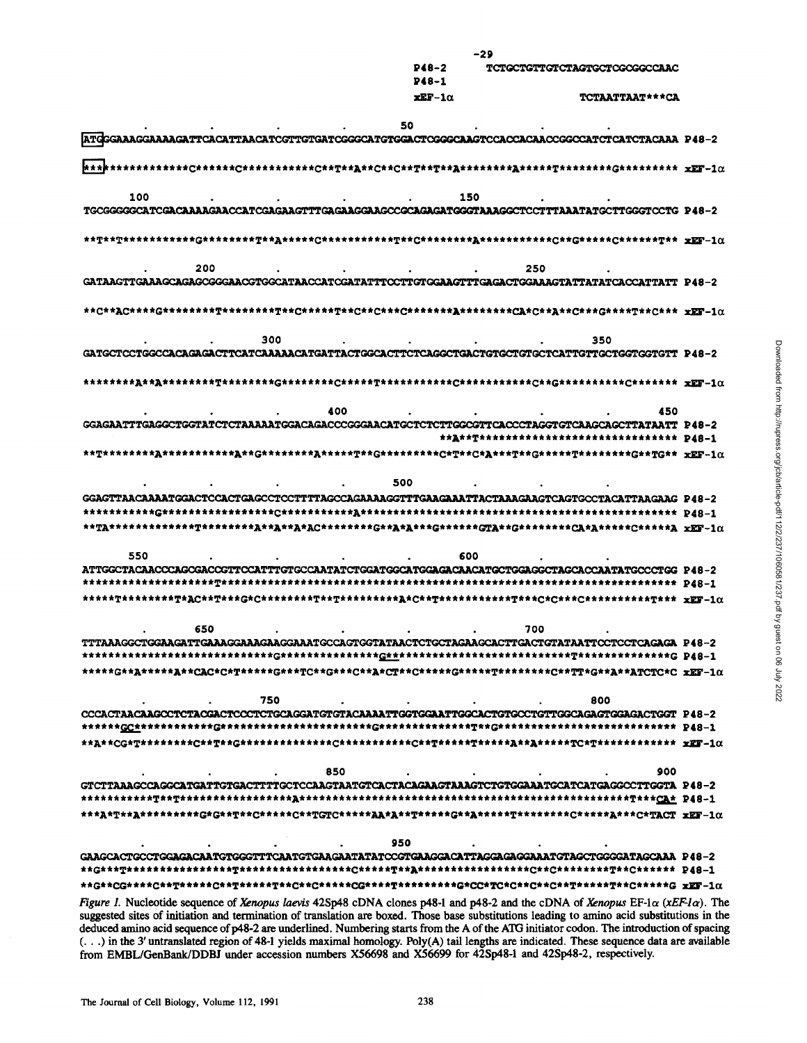|                                                                                                     | $P48-2$<br>$P48-1$ | <b>TCTGCTGTTGTCTAGTGCTCGCGGCCAAC</b>      |  |  |  |
|-----------------------------------------------------------------------------------------------------|--------------------|-------------------------------------------|--|--|--|
|                                                                                                     | $xEF-1\alpha$      | <b>TCTAATTAAT***CA</b>                    |  |  |  |
|                                                                                                     | 50                 |                                           |  |  |  |
| ATGGGAAAGGAAAAGATTCACATTAACATCGTTGTGATCGGGCATGTGGACTCGGGCAAGTCCACCACAACCGGCCATCTCATCTACAAA P48-2    |                    |                                           |  |  |  |
|                                                                                                     |                    |                                           |  |  |  |
| 100                                                                                                 | 150                |                                           |  |  |  |
|                                                                                                     |                    |                                           |  |  |  |
|                                                                                                     |                    |                                           |  |  |  |
| 200                                                                                                 |                    | 250                                       |  |  |  |
| GATAAGTTGAAAGCAGAGCGGGAACGTGGCATAACCATCGATATTTCCTTGTGGAAGTTTGAGACTGGAAAGTATTATATCACCATTATT_P48-2    |                    |                                           |  |  |  |
|                                                                                                     |                    |                                           |  |  |  |
| 300                                                                                                 |                    | 350                                       |  |  |  |
| GATGCTCCTGGCCACAGAGACTTCATCAAAAACATGATTACTGGCACTTCTCAGGCTGACTGTGCTGTGCTCATTGTTGCTGGTGGTGTT P48-2    |                    |                                           |  |  |  |
|                                                                                                     |                    |                                           |  |  |  |
| 400                                                                                                 |                    | 450                                       |  |  |  |
| GGAGAATTTGAGGCTGGTATCTCTAAAAATGGACAGACCCGGGAACATGCTCTCTTGGCGTTCACCCTAGGTGTCAAGCAGCTTATAATT P48-2    |                    |                                           |  |  |  |
|                                                                                                     |                    | **A**T***************************** P48-1 |  |  |  |
|                                                                                                     |                    |                                           |  |  |  |
| 500                                                                                                 |                    |                                           |  |  |  |
| GGAGTTAACAAAATGGACTCCACTGAGCCTCCTTTTAGCCAGAAAAGGTTTGAAGAAATTACTAAAGAAGTCAGTGCCTACATTAAGAAG P48-2    |                    |                                           |  |  |  |
|                                                                                                     |                    |                                           |  |  |  |
| 550                                                                                                 | 600                |                                           |  |  |  |
| ATTGGCTACAACCCAGCGACCGTTCCATTTGTGCCAATATCTGGATGGCATGGAGACAACATGCTGGAGGCTAGCACCAATATGCCCTGG P48-2    |                    |                                           |  |  |  |
|                                                                                                     |                    |                                           |  |  |  |
|                                                                                                     |                    |                                           |  |  |  |
| 650                                                                                                 |                    | 700                                       |  |  |  |
| TTTAAAGGCTGGAAGATTGAAAGGAAAGGAAATGCCAGTGGTATAACTCTGCTAGAAGCACTTGACTGTATAATTCCTCCTCAGAGA P48-2       |                    |                                           |  |  |  |
|                                                                                                     |                    |                                           |  |  |  |
| *****G**A******A**CAC*C*T*****G***TC**G***C**A*CT**C*****G*****T*********C**TT*G**A**ATCTC*C_xEF-1a |                    |                                           |  |  |  |
| 750                                                                                                 |                    | 800                                       |  |  |  |
| CCCACTAACAAGCCTCTACGACTCCCTCTGCAGGATGTGTACAAAATTGGTGGAATTGGCACTGTGCCTGTTGGCAGAGTGGAGACTGGT P48-2    |                    |                                           |  |  |  |
|                                                                                                     |                    |                                           |  |  |  |
| 850                                                                                                 |                    | 900                                       |  |  |  |
| GTCTTAAAGCCAGGCATGATTGTGACTTTTGCTCCAAGTAATGTCACTACAGAAGTAAAGTCTGTGGAAATGCATCATGAGGCCTTGGTA P48-2    |                    |                                           |  |  |  |
|                                                                                                     |                    |                                           |  |  |  |
|                                                                                                     |                    |                                           |  |  |  |
| 950                                                                                                 |                    |                                           |  |  |  |
| GAAGCACTGCCTGGAGACAATGTGGGTTTCAATGTGAAGAATATATCCGTGAAGGACATTAGGAGGAAATGTAGCTGGGGATAGCAAA P48-2      |                    |                                           |  |  |  |
|                                                                                                     |                    |                                           |  |  |  |
|                                                                                                     |                    |                                           |  |  |  |

 $-29$ 

Figure 1. Nucleotide sequence of Xenopus laevis 42Sp48 cDNA clones p48-1 and p48-2 and the cDNA of Xenopus EF-1 $\alpha$  (xEF-1 $\alpha$ ). The suggested sites of initiation and termination of translation are boxed. Those base substitutions leading to amino acid substitutions in the deduced amino acid sequence of p48-2 are underlined. Numbering starts from the A of the ATG initiator codon. The introduction of spacing (...) in the 3' untranslated region of 48-1 yields maximal homology. Poly(A) tail lengths are indicated. These sequence data are available from EMBL/GenBank/DDBJ under accession numbers X56698 and X56699 for 42Sp48-1 and 42Sp48-2, respectively.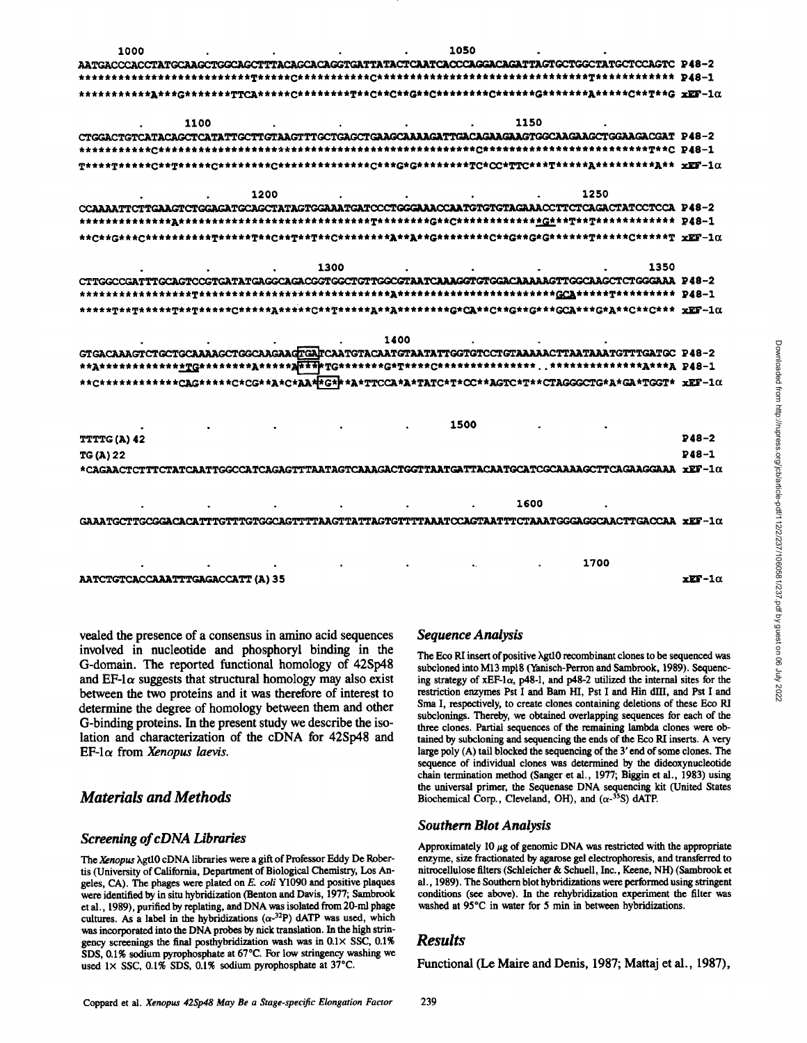

vealed the presence of a consensus in amino acid sequences involved in nucleotide and phosphoryl binding in the G-domain. The reported functional homology of 42Sp48 and EF-1 $\alpha$  suggests that structural homology may also exist between the two proteins and it was therefore of interest to determine the degree of homology between them and other G-binding proteins. In the present study we describe the isolation and characterization of the cDNA for 42Sp48 and  $EF$ -1 $\alpha$  from Xenopus laevis.

## **Materials and Methods**

## **Screening of cDNA Libraries**

The Xenopus Agt10 cDNA libraries were a gift of Professor Eddy De Robertis (University of California, Department of Biological Chemistry, Los Angeles, CA). The phages were plated on E. coli Y1090 and positive plaques were identified by in situ hybridization (Benton and Davis, 1977; Sambrook et al., 1989), purified by replating, and DNA was isolated from 20-ml phage cultures. As a label in the hybridizations  $(\alpha^{-32}P)$  dATP was used, which was incorporated into the DNA probes by nick translation. In the high stringency screenings the final posthybridization wash was in  $0.1 \times$  SSC,  $0.1\%$ SDS, 0.1% sodium pyrophosphate at 67°C. For low stringency washing we used  $1 \times$  SSC, 0.1% SDS, 0.1% sodium pyrophosphate at 37°C.

## **Sequence Analysis**

The Eco RI insert of positive  $\lambda$ gtl0 recombinant clones to be sequenced was subcloned into M13 mp18 (Yanisch-Perron and Sambrook, 1989). Sequencing strategy of xEF-1 $\alpha$ , p48-1, and p48-2 utilized the internal sites for the restriction enzymes Pst I and Bam HI, Pst I and Hin dIII, and Pst I and Sma I, respectively, to create clones containing deletions of these Eco RI subclonings. Thereby, we obtained overlapping sequences for each of the three clones. Partial sequences of the remaining lambda clones were obtained by subcloning and sequencing the ends of the Eco RI inserts. A very large poly (A) tail blocked the sequencing of the 3' end of some clones. The sequence of individual clones was determined by the dideoxynucleotide chain termination method (Sanger et al., 1977; Biggin et al., 1983) using the universal primer, the Sequenase DNA sequencing kit (United States Biochemical Corp., Cleveland, OH), and  $(\alpha^{-35}S)$  dATP.

#### **Southern Blot Analysis**

Approximately 10  $\mu$ g of genomic DNA was restricted with the appropriate enzyme, size fractionated by agarose gel electrophoresis, and transferred to nitrocellulose filters (Schleicher & Schuell, Inc., Keene, NH) (Sambrook et al., 1989). The Southern blot hybridizations were performed using stringent conditions (see above). In the rehybridization experiment the filter was washed at 95°C in water for 5 min in between hybridizations.

## **Results**

Functional (Le Maire and Denis, 1987; Mattaj et al., 1987),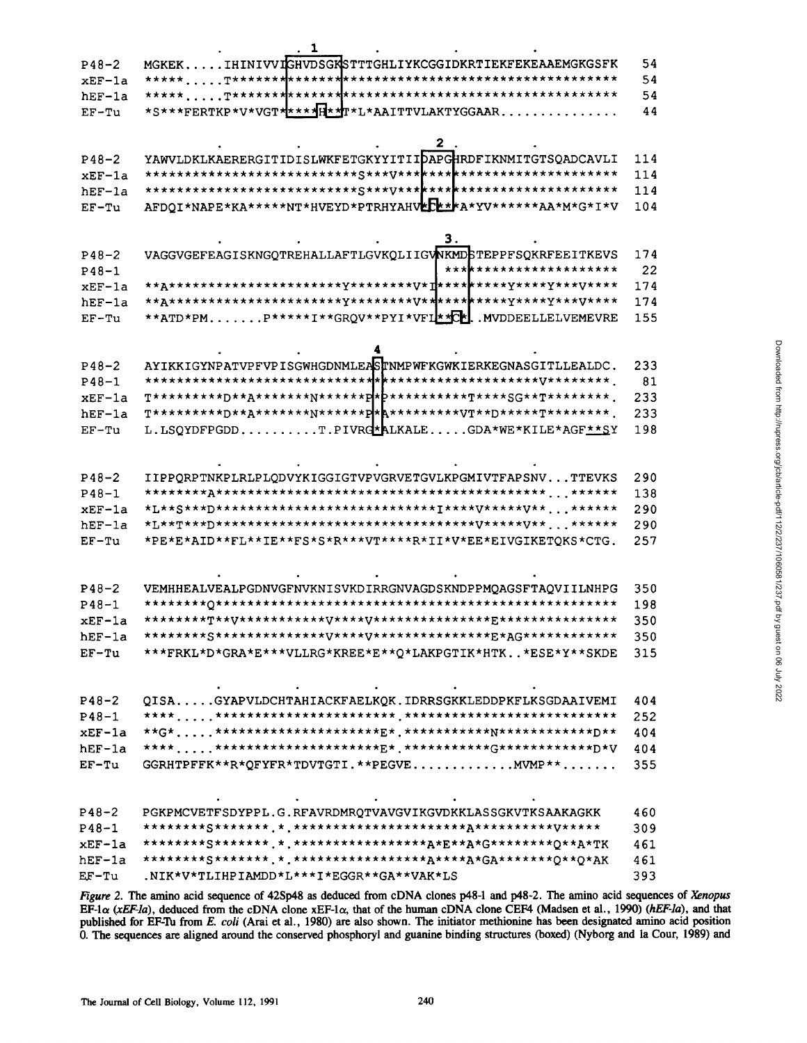|           | ı                                                                     |     |
|-----------|-----------------------------------------------------------------------|-----|
| $P48 - 2$ | MGKEKIHINIVVIGHVDSGKSTTTGHLIYKCGGIDKRTIEKFEKEAAEMGKGSFK               | 54  |
| $xEF-1a$  |                                                                       | 54  |
| hEF-1a    |                                                                       | 54  |
| $EF-Tu$   | *S***FERTKP*V*VGT*****H**L*AAITTVLAKTYGGAAR                           | 44  |
|           |                                                                       |     |
|           | 2                                                                     |     |
| $P48 - 2$ | YAWVLDKLKAERERGITIDISLWKFETGKYYITIIDAPGHRDFIKNMITGTSQADCAVLI          | 114 |
| $xEF-1a$  |                                                                       | 114 |
| hEF-la    |                                                                       | 114 |
| $EF-Tu$   | AFDQI*NAPE*KA*****NT*HVEYD*PTRHYAHV <b>EE**</b> *A*YV******AA*M*G*I*V | 104 |
|           |                                                                       |     |
|           |                                                                       |     |
|           | 3.                                                                    |     |
| $P48-2$   | VAGGVGEFEAGISKNGQTREHALLAFTLGVKQLIIGVNKMDSTEPPFSQKRFEEITKEVS          | 174 |
| $P48 - 1$ | *** <b>******************</b> *                                       | 22  |
| $xEF-1a$  |                                                                       | 174 |
| hEF-la    |                                                                       | 174 |
| $EF-Tu$   | **ATD*PMP*****I**GRQV**PYI*VFI <sup>**</sup> C*. MVDDEELLELVEMEVRE    | 155 |
|           |                                                                       |     |
|           |                                                                       |     |
| $P48 - 2$ | AYIKKIGYNPATVPFVPISGWHGDNMLEASTNMPWFKGWKIERKEGNASGITLLEALDC.          | 233 |
| $P48 - 1$ |                                                                       | 81  |
| xEF-la    |                                                                       | 233 |
| hEF-la    |                                                                       | 233 |
| $EF-Tu$   | L.LSQYDFPGDDT.PIVRG*ALKALEGDA*WE*KILE*AGF**SY                         | 198 |
|           |                                                                       |     |
|           |                                                                       |     |
| $P48-2$   | IIPPQRPTNKPLRLPLQDVYKIGGIGTVPVGRVETGVLKPGMIVTFAPSNVTTEVKS             | 290 |
| $P48 - 1$ |                                                                       | 138 |
|           |                                                                       | 290 |
| xEF-la    | *L**S***D*****************************I****V*****V** ******           |     |
| $hEF-1a$  |                                                                       | 290 |
| $EF-Tu$   | *PE*E*AID**FL**IE**FS*S*R***VT****R*II*V*EE*EIVGIKETOKS*CTG.          | 257 |
|           |                                                                       |     |
|           |                                                                       |     |
| $P48 - 2$ | VEMHHEALVEALPGDNVGFNVKNISVKDIRRGNVAGDSKNDPPMQAGSFTAQVIILNHPG          | 350 |
| $P48 - 1$ |                                                                       | 198 |
| xEF-la    |                                                                       | 350 |
| hEF-1a    |                                                                       | 350 |
| $EF-Tu$   | ***FRKL*D*GRA*E***VLLRG*KREE*E**0*LAKPGTIK*HTK*ESE*Y**SKDE            | 315 |
|           |                                                                       |     |
|           |                                                                       |     |
| $P48 - 2$ | QISAGYAPVLDCHTAHIACKFAELKQK.IDRRSGKKLEDDPKFLKSGDAAIVEMI               | 404 |
| $P48 - 1$ |                                                                       | 252 |
| $xEF-1a$  |                                                                       | 404 |
| $hEF-1a$  |                                                                       | 404 |
| $EF-Tu$   | GGRHTPFFK**R*QFYFR*TDVTGTI.**PEGVEMVMP**                              | 355 |
|           |                                                                       |     |
|           |                                                                       |     |
| $P48 - 2$ | PGKPMCVETFSDYPPL.G.RFAVRDMRQTVAVGVIKGVDKKLASSGKVTKSAAKAGKK            | 460 |
| $P48 - 1$ |                                                                       | 309 |
| $xEF-1a$  |                                                                       | 461 |
|           |                                                                       |     |
| $hEF-1a$  |                                                                       | 461 |
| EF-Tu     | .NIK*V*TLIHPIAMDD*L***I*EGGR**GA**VAK*LS                              | 393 |

Figure 2. The amino acid sequence of 42Sp48 as deduced from cDNA clones p48-1 and p48-2. The amino acid sequences of Xenopus EF-1 $\alpha$  (xEF-la), deduced from the cDNA clone xEF-1 $\alpha$ , that of the human cDNA clone CEF4 (Madsen et al., 1990) (hEF-la), and that published for EF-Tu from E. coli (Arai et al., 1980) are also shown. The initiator methionine has been designated amino acid position 0. The sequences are aligned around the conserved phosphoryl and guanine binding structures (boxed) (Nyborg and la Cour, 1989) and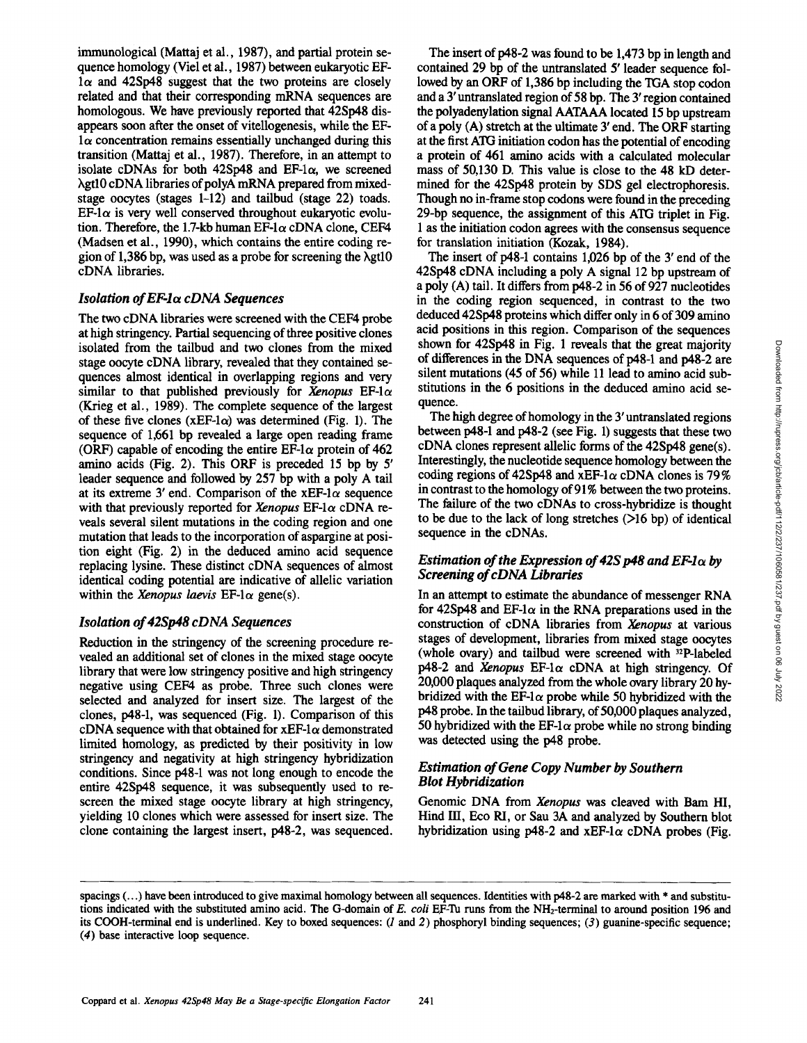immunological (Mattaj et al., 1987), and partial protein sequence homology (Viel et al., 1987) between eukaryotic EF- $1\alpha$  and 42Sp48 suggest that the two proteins are closely related and that their corresponding mRNA sequences are homologous. We have previously reported that 42Sp48 disappears soon after the onset of vitellogenesis, while the EF- $1\alpha$  concentration remains essentially unchanged during this transition (Mattaj et al., 1987). Therefore, in an attempt to isolate cDNAs for both  $42Sp48$  and EF-1 $\alpha$ , we screened hgtl0 eDNA libraries of polyA mRNA prepared from mixedstage oocytes (stages 1-12) and tailbud (stage 22) toads.  $E\mathbf{F-1}\alpha$  is very well conserved throughout eukaryotic evolution. Therefore, the 1.7-kb human EF-1 $\alpha$  cDNA clone, CEF4 (Madsen et al., 1990), which contains the entire coding region of 1,386 bp, was used as a probe for screening the  $\lambda$ gtl $0$ cDNA libraries.

## *Isolation of EF-h~ cDNA Sequences*

The two eDNA libraries were screened with the CEF4 probe at high stringency. Partial sequencing of three positive clones isolated from the tailbud and two clones from the mixed stage oocyte eDNA library, revealed that they contained sequences almost identical in overlapping regions and very similar to that published previously for *Xenopus* EF-1 $\alpha$ (Krieg et ai., 1989). The complete sequence of the largest of these five clones ( $xEF-l\alpha$ ) was determined (Fig. 1). The sequence of 1,661 bp revealed a large open reading frame (ORF) capable of encoding the entire  $E\overline{F}$ -1 $\alpha$  protein of 462 amino acids (Fig. 2). This ORF is preceded 15 bp by 5' leader sequence and followed by 257 bp with a poly A tail at its extreme 3' end. Comparison of the xEF-l $\alpha$  sequence with that previously reported for *Xenopus*  $EF$ -1 $\alpha$  cDNA reveals several silent mutations in the coding region and one mutation that leads to the incorporation of aspargine at position eight (Fig. 2) in the deduced amino acid sequence replacing lysine. These distinct cDNA sequences of almost identical coding potential are indicative of allelic variation within the *Xenopus laevis*  $EF$ -l $\alpha$  gene(s).

## *Isolation of 42Sp48 cDNA Sequences*

Reduction in the stringency of the screening procedure revealed an additional set of clones in the mixed stage oocyte library that were low stringency positive and high stringency negative using CEF4 as probe. Three such clones were selected and analyzed for insert size. The largest of the clones, p48-1, was sequenced (Fig. 1). Comparison of this cDNA sequence with that obtained for  $xEF-1\alpha$  demonstrated limited homology, as predicted by their positivity in low stringency and negativity at high stringency hybridization conditions. Since p48-1 was not long enough to encode the entire 42Sp48 sequence, it was subsequently used to rescreen the mixed stage oocyte library at high stringency, yielding 10 clones which were assessed for insert size. The clone containing the largest insert, p48-2, was sequenced.

The insert of p48-2 was found to be 1,473 bp in length and contained 29 bp of the untranslated 5' leader sequence followed by an ORF of 1,386 bp including the TGA stop codon and a 3' untranslated region of 58 bp. The 3' region contained the polyadenylation signal AATAAA located 15 bp upstream of a poly (A) stretch at the ultimate 3' end. The ORF starting at the first ATG initiation codon has the potential of encoding a protein of 461 amino acids with a calculated molecular mass of 50,130 D. This value is close to the 48 kD determined for the 42Sp48 protein by SDS gel electrophoresis. Though no in-frame stop codons were found in the preceding 29-bp sequence, the assignment of this ATG triplet in Fig. 1 as the initiation codon agrees with the consensus sequence for translation initiation (Kozak, 1984).

The insert of p48-1 contains 1,026 bp of the 3' end of the 42Sp48 eDNA including a poly A signal 12 bp upstream of a poly (A) tail. It differs from p48-2 in 56 of 927 nucleotides in the coding region sequenced, in contrast to the two deduced 42Sp48 proteins which differ only in 6 of 309 amino acid positions in this region. Comparison of the sequences shown for 42Sp48 in Fig. 1 reveals that the great majority of differences in the DNA sequences of p48-1 and p48-2 are silent mutations (45 of 56) while 11 lead to amino acid substitutions in the 6 positions in the deduced amino acid sequence.

The high degree of homology in the 3' untranslated regions between p48-1 and p48-2 (see Fig. 1) suggests that these two  $cDNA$  clones represent allelic forms of the  $42Sp48$  gene(s). Interestingly, the nucleotide sequence homology between the coding regions of 42Sp48 and xEF-1 $\alpha$  cDNA clones is 79% in contrast to the homology of 91% between the two proteins. The failure of the two cDNAs to cross-hybridize is thought to be due to the lack of long stretches (>16 bp) of identical sequence in the cDNAs.

## *Estimation of the Expression of 42S p48 and*  $E\mathbf{F-1}\alpha$  *by Screening of cDNA Libraries*

In an attempt to estimate the abundance of messenger RNA for 42Sp48 and EF-1 $\alpha$  in the RNA preparations used in the construction of eDNA libraries from *Xenopus* at various stages of development, libraries from mixed stage oocytes (whole ovary) and tailbud were screened with 32p-labeled  $p48-2$  and *Xenopus* EF-l $\alpha$  cDNA at high stringency. Of 20,000 plaques analyzed from the whole ovary library 20 hybridized with the EF-1 $\alpha$  probe while 50 hybridized with the p48 probe. In the tailbud library, of 50,000 plaques analyzed, 50 hybridized with the EF-1 $\alpha$  probe while no strong binding was detected using the p48 probe.

## *Estimation of Gene Copy Number by Southern Blot Hybridization*

Genomic DNA from *Xenopus* was cleaved with Bam HI, Hind III, Eco RI, or Sau 3A and analyzed by Southern blot hybridization using p48-2 and xEF-1 $\alpha$  cDNA probes (Fig.

spacings  $(...)$  have been introduced to give maximal homology between all sequences. Identities with p48-2 are marked with  $*$  and substitutions indicated with the substituted amino acid. The G-domain of *E. coli* EF-Tu runs from the NH2-terminal to around position 196 and its COOH-terminal end is underlined. Key to boxed sequences:  $(l \text{ and } 2)$  phosphoryl binding sequences;  $(3)$  guanine-specific sequence; (4) base interactive loop sequence.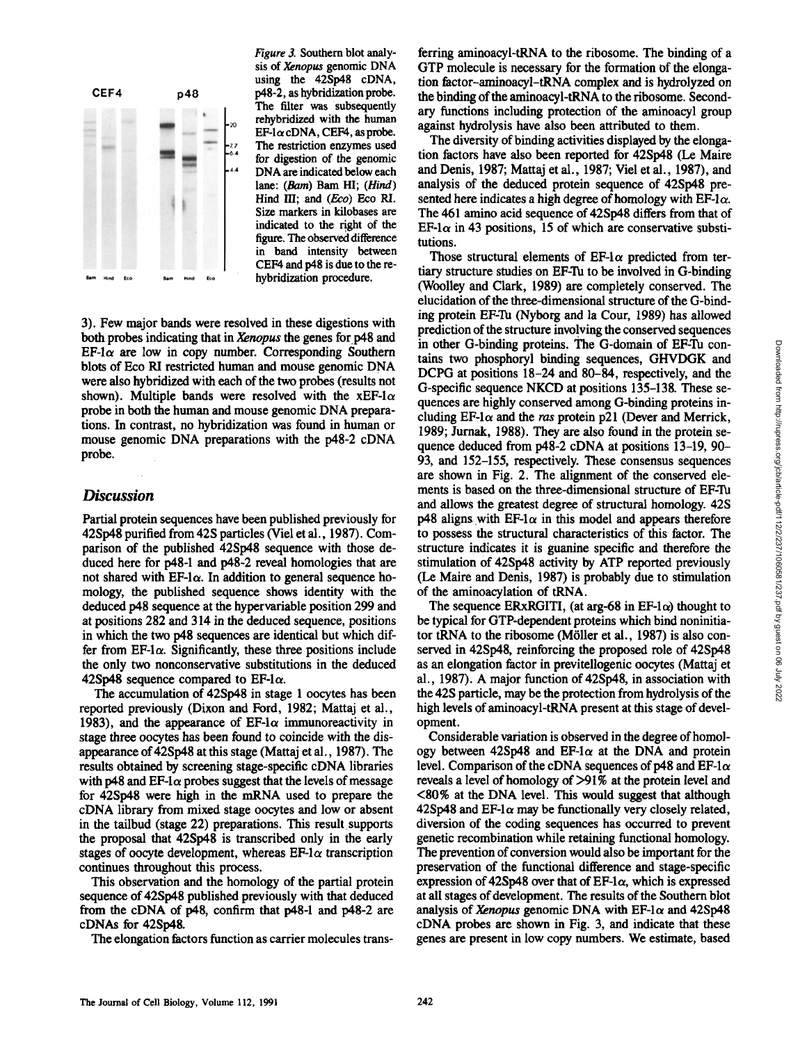

*Figure 3.* Southern blot analysis of *Xenopus* genomic DNA using the 42Sp48 eDNA, p48-2, as hybridization probe. The filter was subsequently rehybridized with the human  $EF$ -l $\alpha$  cDNA, CEF4, as probe. The restriction enzymes used for digestion of the genomic DNA are indicated below each lane: (Barn) Barn HI; *(Hind)*  Hind III: and (Eco) Eco RI. Size markers in kilobases are indicated to the right of the figure. The observed difference in band intensity between CEF4 and p48 is due to the rehybridization procedure.

3). Few major bands were resolved in these digestions with both probes indicating that in *Xenopus the* genes forp48 and  $EF$ -l $\alpha$  are low in copy number. Corresponding Southern blots of Eco RI restricted human and mouse genomic DNA were also hybridized with each of the two probes (results not shown). Multiple bands were resolved with the xEF-1 $\alpha$ probe in both the human and mouse genomic DNA preparations. In contrast, no hybridization was found in human or mouse genomic DNA preparations with the p48-2 eDNA probe.

## *Discussion*

Partial protein sequences have been published previously for 42Sp48 purified from 42S particles (Viel et al., 1987). Comparison of the published 42Sp48 sequence with those deduced here for p48-1 and p48-2 reveal homologies that are not shared with  $EF$ -l $\alpha$ . In addition to general sequence homology, the published sequence shows identity with the deduced p48 sequence at the hypervariable position 299 and at positions 282 and 314 in the deduced sequence, positions in which the two p48 sequences are identical but which differ from EF-1 $\alpha$ . Significantly, these three positions include the only two nonconservative substitutions in the deduced 42Sp48 sequence compared to EF-1 $\alpha$ .

The accumulation of 42Sp48 in stage 1 oocytes has been reported previously (Dixon and Ford, 1982; Mattaj et al., 1983), and the appearance of EF-1 $\alpha$  immunoreactivity in stage three oocytes has been found to coincide with the disappearance of 42Sp48 at this stage (Mattaj et al., 1987). The results obtained by screening stage-specific eDNA libraries with p48 and EF-1 $\alpha$  probes suggest that the levels of message for 42Sp48 were high in the mRNA used to prepare the cDNA library from mixed stage oocytes and low or absent in the tailbud (stage 22) preparations. This result supports the proposal that 42Sp48 is transcribed only in the early stages of oocyte development, whereas  $E\mathbf{F-1}\alpha$  transcription continues throughout this process.

This observation and the homology of the partial protein sequence of 42Sp48 published previously with that deduced from the eDNA of p48, confirm that p48-1 and p48-2 are cDNAs for 42Sp48.

The elongation factors function as carrier molecules trans-

ferring aminoacyl-tRNA to the ribosome. The binding of a GTP molecule is necessary for the formation of the elongation factor-aminoacyl-tRNA complex and is hydrolyzed on the binding of the aminoacyl-tRNA to the ribosome. Secondary functions including protection of the aminoacyl group against hydrolysis have also been attributed to them.

The diversity of binding activities displayed by the elongation factors have also been reported for 42Sp48 (Le Maire and Denis, 1987; Mattaj et al., 1987; Viel et al., 1987), and analysis of the deduced protein sequence of 42Sp48 presented here indicates a high degree of homology with  $E_1 \alpha$ . The 461 amino acid sequence of 42Sp48 differs from that of EF-1 $\alpha$  in 43 positions, 15 of which are conservative substitutions.

Those structural elements of EF-1 $\alpha$  predicted from tertiary structure studies on EF-Tu to be involved in G-binding (Woolley and Clark, 1989) are completely conserved. The elucidation of the three-dimensional structure of the G-binding protein EF-Tu (Nyborg and la Cour, 1989) has allowed prediction of the structure involying the conserved sequences in other G-binding proteins. The G-domain of EF-Tu contains two phosphoryl binding sequences, GHVDGK and DCPG at positions 18-24 and 80-84, respectively, and the G-specific sequence NKCD at positions 135-138. These sequences are highly conserved among G-binding proteins including  $EF$ -1 $\alpha$  and the ras protein p21 (Dever and Merrick, 1989; Jurnak, 1988). They are also found in the protein sequence deduced from p48-2 cDNA at positions 13-19, 90- 93, and 152-155, respectively. These consensus sequences are shown in Fig. 2. The alignment of the conserved elements is based on the three-dimensional structure of EF-Tu and allows the greatest degree of structural homology. 42S p48 aligns with EF-1 $\alpha$  in this model and appears therefore to possess the structural characteristics of this factor. The structure indicates it is guanine specific and therefore the stimulation of 42Sp48 activity by ATP reported previously (Le Maire and Denis, 1987) is probably due to stimulation of the aminoacylation of tRNA.

The sequence ERxRGITI, (at arg-68 in EF-1 $\alpha$ ) thought to be typical for GTP-dependent proteins which bind noninitiator tRNA to the ribosome (Möller et al., 1987) is also conserved in 42Sp48, reinforcing the proposed role of 42Sp48 as an elongation factor in previtellogenic oocytes (Mattaj et al., 1987). A major function of 42Sp48, in association with the 42S particle, may be the protection from hydrolysis of the high levels of aminoacyl-tRNA present at this stage of development.

Considerable variation is observed in the degree of homology between 42Sp48 and EF-1 $\alpha$  at the DNA and protein level. Comparison of the cDNA sequences of p48 and EF-1 $\alpha$ reveals a level of homology of >91% at the protein level and <80% at the DNA level. This would suggest that although 42Sp48 and EF-1 $\alpha$  may be functionally very closely related, diversion of the coding sequences has occurred to prevent genetic recombination while retaining functional homology. The prevention of conversion would also be important for the preservation of the functional difference and stage-specific expression of 42Sp48 over that of EF-1 $\alpha$ , which is expressed at all stages of development. The results of the Southern blot analysis of *Xenopus* genomic DNA with EF-l $\alpha$  and 42Sp48 cDNA probes are shown in Fig. 3, and indicate that these genes are present in low copy numbers. We estimate, based